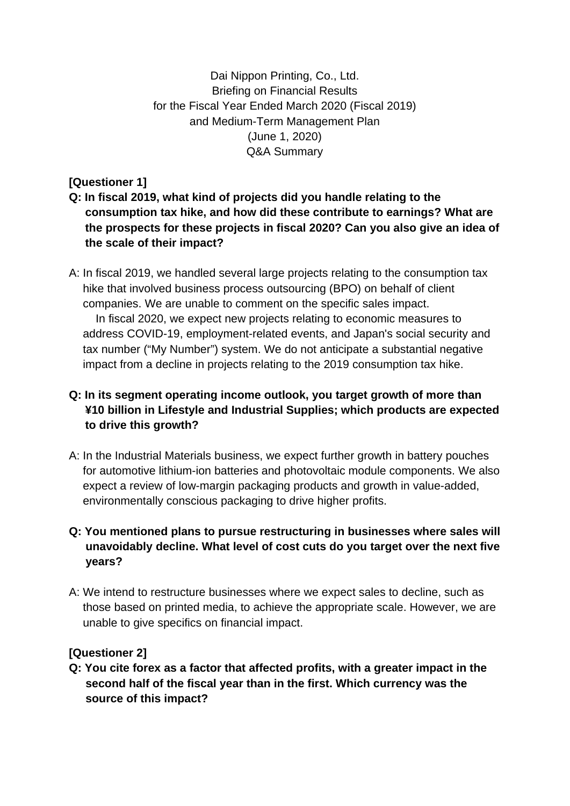Dai Nippon Printing, Co., Ltd. Briefing on Financial Results for the Fiscal Year Ended March 2020 (Fiscal 2019) and Medium-Term Management Plan (June 1, 2020) Q&A Summary

**[Questioner 1]** 

- **Q: In fiscal 2019, what kind of projects did you handle relating to the consumption tax hike, and how did these contribute to earnings? What are the prospects for these projects in fiscal 2020? Can you also give an idea of the scale of their impact?**
- A: In fiscal 2019, we handled several large projects relating to the consumption tax hike that involved business process outsourcing (BPO) on behalf of client companies. We are unable to comment on the specific sales impact. In fiscal 2020, we expect new projects relating to economic measures to address COVID-19, employment-related events, and Japan's social security and tax number ("My Number") system. We do not anticipate a substantial negative impact from a decline in projects relating to the 2019 consumption tax hike.

# **Q: In its segment operating income outlook, you target growth of more than ¥10 billion in Lifestyle and Industrial Supplies; which products are expected to drive this growth?**

A: In the Industrial Materials business, we expect further growth in battery pouches for automotive lithium-ion batteries and photovoltaic module components. We also expect a review of low-margin packaging products and growth in value-added, environmentally conscious packaging to drive higher profits.

# **Q: You mentioned plans to pursue restructuring in businesses where sales will unavoidably decline. What level of cost cuts do you target over the next five years?**

A: We intend to restructure businesses where we expect sales to decline, such as those based on printed media, to achieve the appropriate scale. However, we are unable to give specifics on financial impact.

# **[Questioner 2]**

**Q: You cite forex as a factor that affected profits, with a greater impact in the second half of the fiscal year than in the first. Which currency was the source of this impact?**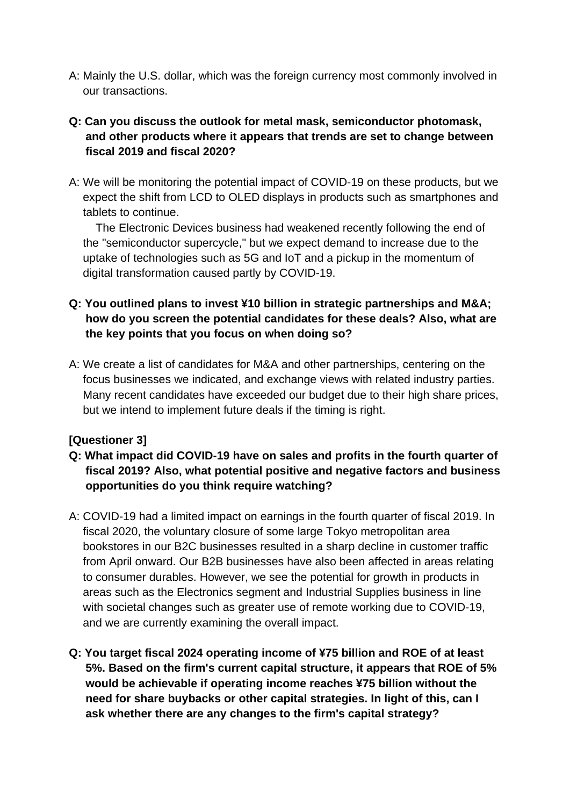A: Mainly the U.S. dollar, which was the foreign currency most commonly involved in our transactions.

# **Q: Can you discuss the outlook for metal mask, semiconductor photomask, and other products where it appears that trends are set to change between fiscal 2019 and fiscal 2020?**

A: We will be monitoring the potential impact of COVID-19 on these products, but we expect the shift from LCD to OLED displays in products such as smartphones and tablets to continue.

 The Electronic Devices business had weakened recently following the end of the "semiconductor supercycle," but we expect demand to increase due to the uptake of technologies such as 5G and IoT and a pickup in the momentum of digital transformation caused partly by COVID-19.

# **Q: You outlined plans to invest ¥10 billion in strategic partnerships and M&A; how do you screen the potential candidates for these deals? Also, what are the key points that you focus on when doing so?**

A: We create a list of candidates for M&A and other partnerships, centering on the focus businesses we indicated, and exchange views with related industry parties. Many recent candidates have exceeded our budget due to their high share prices, but we intend to implement future deals if the timing is right.

# **[Questioner 3]**

# **Q: What impact did COVID-19 have on sales and profits in the fourth quarter of fiscal 2019? Also, what potential positive and negative factors and business opportunities do you think require watching?**

- A: COVID-19 had a limited impact on earnings in the fourth quarter of fiscal 2019. In fiscal 2020, the voluntary closure of some large Tokyo metropolitan area bookstores in our B2C businesses resulted in a sharp decline in customer traffic from April onward. Our B2B businesses have also been affected in areas relating to consumer durables. However, we see the potential for growth in products in areas such as the Electronics segment and Industrial Supplies business in line with societal changes such as greater use of remote working due to COVID-19, and we are currently examining the overall impact.
- **Q: You target fiscal 2024 operating income of ¥75 billion and ROE of at least 5%. Based on the firm's current capital structure, it appears that ROE of 5% would be achievable if operating income reaches ¥75 billion without the need for share buybacks or other capital strategies. In light of this, can I ask whether there are any changes to the firm's capital strategy?**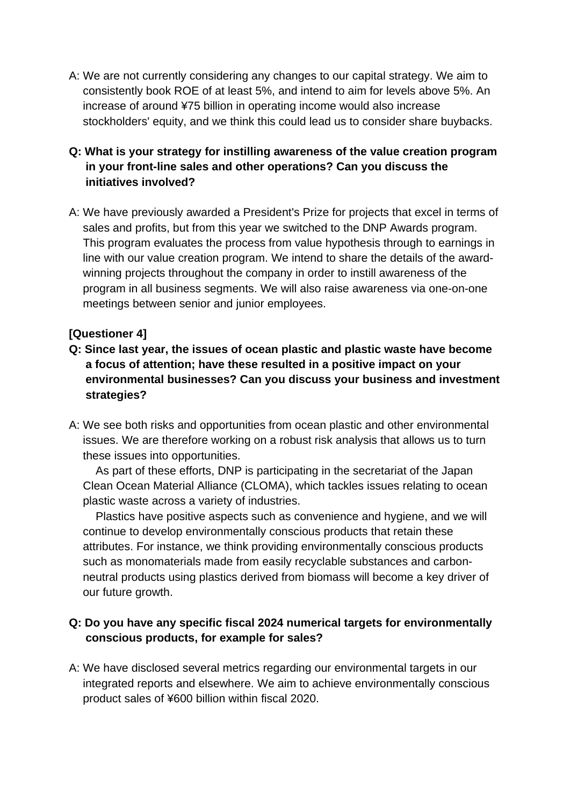A: We are not currently considering any changes to our capital strategy. We aim to consistently book ROE of at least 5%, and intend to aim for levels above 5%. An increase of around ¥75 billion in operating income would also increase stockholders' equity, and we think this could lead us to consider share buybacks.

# **Q: What is your strategy for instilling awareness of the value creation program in your front-line sales and other operations? Can you discuss the initiatives involved?**

A: We have previously awarded a President's Prize for projects that excel in terms of sales and profits, but from this year we switched to the DNP Awards program. This program evaluates the process from value hypothesis through to earnings in line with our value creation program. We intend to share the details of the awardwinning projects throughout the company in order to instill awareness of the program in all business segments. We will also raise awareness via one-on-one meetings between senior and junior employees.

### **[Questioner 4]**

- **Q: Since last year, the issues of ocean plastic and plastic waste have become a focus of attention; have these resulted in a positive impact on your environmental businesses? Can you discuss your business and investment strategies?**
- A: We see both risks and opportunities from ocean plastic and other environmental issues. We are therefore working on a robust risk analysis that allows us to turn these issues into opportunities.

As part of these efforts, DNP is participating in the secretariat of the Japan Clean Ocean Material Alliance (CLOMA), which tackles issues relating to ocean plastic waste across a variety of industries.

Plastics have positive aspects such as convenience and hygiene, and we will continue to develop environmentally conscious products that retain these attributes. For instance, we think providing environmentally conscious products such as monomaterials made from easily recyclable substances and carbonneutral products using plastics derived from biomass will become a key driver of our future growth.

### **Q: Do you have any specific fiscal 2024 numerical targets for environmentally conscious products, for example for sales?**

A: We have disclosed several metrics regarding our environmental targets in our integrated reports and elsewhere. We aim to achieve environmentally conscious product sales of ¥600 billion within fiscal 2020.